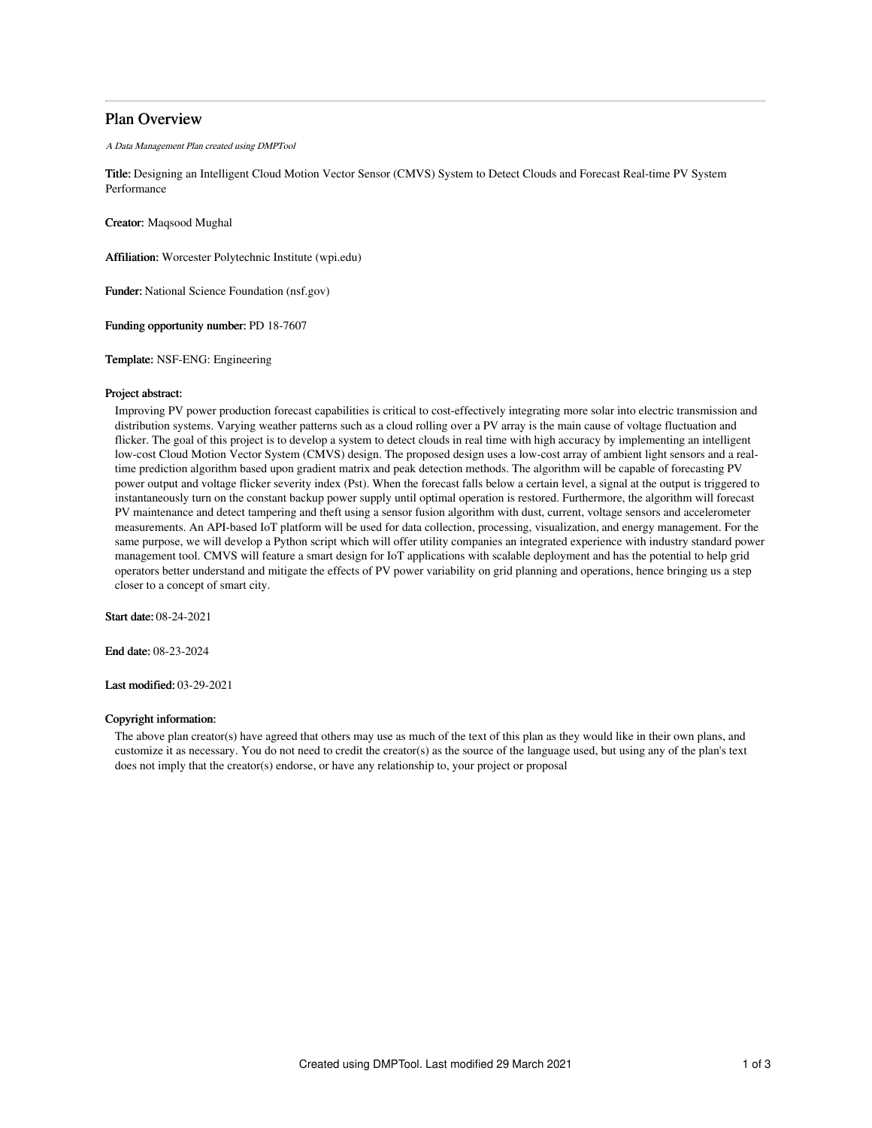# Plan Overview

A Data Management Plan created using DMPTool

Title: Designing an Intelligent Cloud Motion Vector Sensor (CMVS) System to Detect Clouds and Forecast Real-time PV System Performance

Creator: Maqsood Mughal

Affiliation: Worcester Polytechnic Institute (wpi.edu)

Funder: National Science Foundation (nsf.gov)

Funding opportunity number: PD 18-7607

Template: NSF-ENG: Engineering

### Project abstract:

Improving PV power production forecast capabilities is critical to cost-effectively integrating more solar into electric transmission and distribution systems. Varying weather patterns such as a cloud rolling over a PV array is the main cause of voltage fluctuation and flicker. The goal of this project is to develop a system to detect clouds in real time with high accuracy by implementing an intelligent low-cost Cloud Motion Vector System (CMVS) design. The proposed design uses a low-cost array of ambient light sensors and a realtime prediction algorithm based upon gradient matrix and peak detection methods. The algorithm will be capable of forecasting PV power output and voltage flicker severity index (Pst). When the forecast falls below a certain level, a signal at the output is triggered to instantaneously turn on the constant backup power supply until optimal operation is restored. Furthermore, the algorithm will forecast PV maintenance and detect tampering and theft using a sensor fusion algorithm with dust, current, voltage sensors and accelerometer measurements. An API-based IoT platform will be used for data collection, processing, visualization, and energy management. For the same purpose, we will develop a Python script which will offer utility companies an integrated experience with industry standard power management tool. CMVS will feature a smart design for IoT applications with scalable deployment and has the potential to help grid operators better understand and mitigate the effects of PV power variability on grid planning and operations, hence bringing us a step closer to a concept of smart city.

Start date: 08-24-2021

End date: 08-23-2024

Last modified: 03-29-2021

# Copyright information:

The above plan creator(s) have agreed that others may use as much of the text of this plan as they would like in their own plans, and customize it as necessary. You do not need to credit the creator(s) as the source of the language used, but using any of the plan's text does not imply that the creator(s) endorse, or have any relationship to, your project or proposal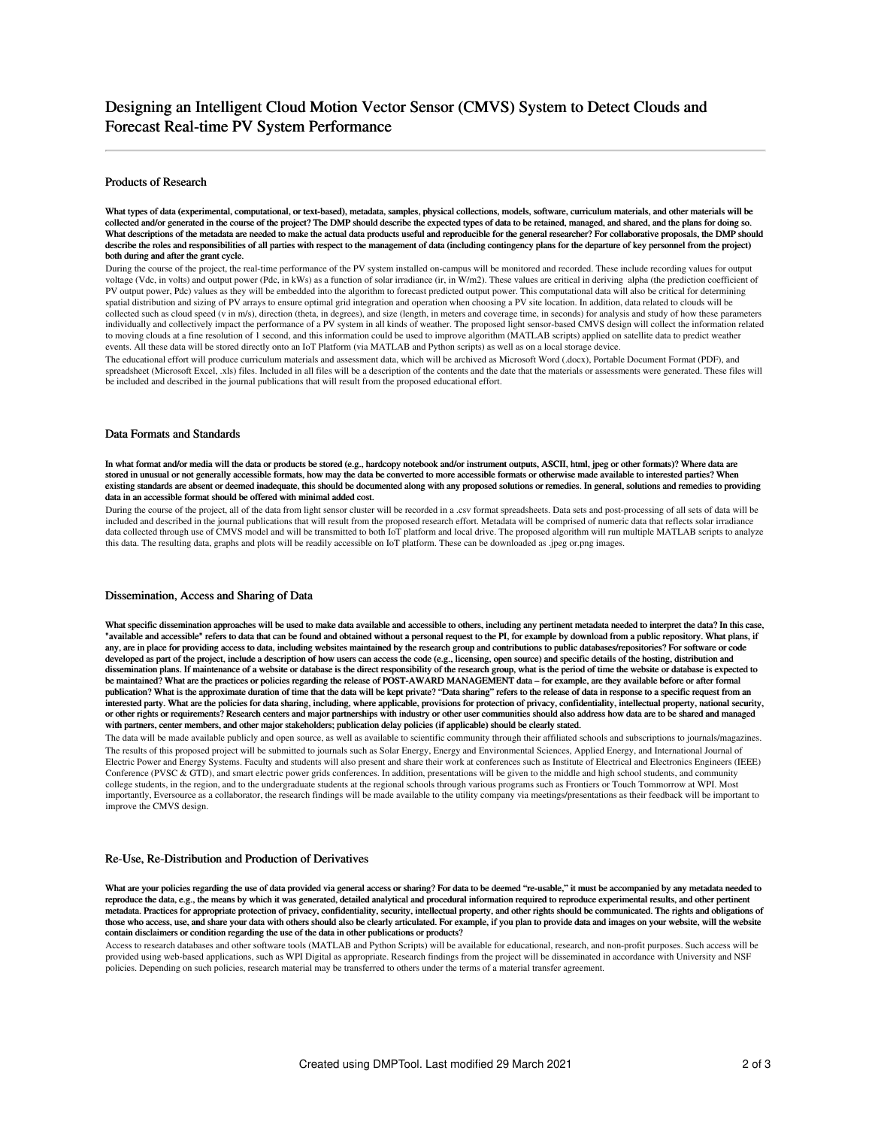### Products of Research

What types of data (experimental, computational, or text-based), metadata, samples, physical collections, models, software, curriculum materials, and other materials will be collected and/or generated in the course of the project? The DMP should describe the expected types of data to be retained, managed, and shared, and the plans for doing so. What descriptions of the metadata are needed to make the actual data products useful and reproducible for the general researcher? For collaborative proposals, the DMP should describe the roles and responsibilities of all parties with respect to the management of data (including contingency plans for the departure of key personnel from the project) both during and after the grant cycle.

During the course of the project, the real-time performance of the PV system installed on-campus will be monitored and recorded. These include recording values for output voltage (Vdc, in volts) and output power (Pdc, in kWs) as a function of solar irradiance (ir, in W/m2). These values are critical in deriving alpha (the prediction coefficient of PV output power, Pdc) values as they will be embedded into the algorithm to forecast predicted output power. This computational data will also be critical for determining spatial distribution and sizing of PV arrays to ensure optimal grid integration and operation when choosing a PV site location. In addition, data related to clouds will be collected such as cloud speed (v in m/s), direction (theta, in degrees), and size (length, in meters and coverage time, in seconds) for analysis and study of how these parameters individually and collectively impact the performance of a PV system in all kinds of weather. The proposed light sensor-based CMVS design will collect the information related to moving clouds at a fine resolution of 1 second, and this information could be used to improve algorithm (MATLAB scripts) applied on satellite data to predict weather events. All these data will be stored directly onto an IoT Platform (via MATLAB and Python scripts) as well as on a local storage device.

The educational effort will produce curriculum materials and assessment data, which will be archived as Microsoft Word (.docx), Portable Document Format (PDF), and spreadsheet (Microsoft Excel, .xls) files. Included in all files will be a description of the contents and the date that the materials or assessments were generated. These files will be included and described in the journal publications that will result from the proposed educational effort.

### Data Formats and Standards

In what format and/or media will the data or products be stored (e.g., hardcopy notebook and/or instrument outputs, ASCII, html, jpeg or other formats)? Where data are stored in unusual or not generally accessible formats, how may the data be converted to more accessible formats or otherwise made available to interested parties? When existing standards are absent or deemed inadequate, this should be documented along with any proposed solutions or remedies. In general, solutions and remedies to providing data in an accessible format should be offered with minimal added cost.

During the course of the project, all of the data from light sensor cluster will be recorded in a .csv format spreadsheets. Data sets and post-processing of all sets of data will be included and described in the journal publications that will result from the proposed research effort. Metadata will be comprised of numeric data that reflects solar irradiance data collected through use of CMVS model and will be transmitted to both IoT platform and local drive. The proposed algorithm will run multiple MATLAB scripts to analyze this data. The resulting data, graphs and plots will be readily accessible on IoT platform. These can be downloaded as .jpeg or.png images.

#### Dissemination, Access and Sharing of Data

What specific dissemination approaches will be used to make data available and accessible to others, including any pertinent metadata needed to interpret the data? In this case, "available and accessible" refers to data that can be found and obtained without a personal request to the PI, for example by download from a public repository. What plans, if any, are in place for providing access to data, including websites maintained by the research group and contributions to public databases/repositories? For software or code developed as part of the project, include a description of how users can access the code (e.g., licensing, open source) and specific details of the hosting, distribution and dissemination plans. If maintenance of a website or database is the direct responsibility of the research group, what is the period of time the website or database is expected to be maintained? What are the practices or policies regarding the release of POST-AWARD MANAGEMENT data – for example, are they available before or after formal publication? What is the approximate duration of time that the data will be kept private? "Data sharing" refers to the release of data in response to a specific request from an interested party. What are the policies for data sharing, including, where applicable, provisions for protection of privacy, confidentiality, intellectual property, national security, or other rights or requirements? Research centers and major partnerships with industry or other user communities should also address how data are to be shared and managed with partners, center members, and other major stakeholders; publication delay policies (if applicable) should be clearly stated.

The data will be made available publicly and open source, as well as available to scientific community through their affiliated schools and subscriptions to journals/magazines. The results of this proposed project will be submitted to journals such as Solar Energy, Energy and Environmental Sciences, Applied Energy, and International Journal of Electric Power and Energy Systems. Faculty and students will also present and share their work at conferences such as Institute of Electrical and Electronics Engineers (IEEE) Conference (PVSC & GTD), and smart electric power grids conferences. In addition, presentations will be given to the middle and high school students, and community college students, in the region, and to the undergraduate students at the regional schools through various programs such as Frontiers or Touch Tommorrow at WPI. Most importantly, Eversource as a collaborator, the research findings will be made available to the utility company via meetings/presentations as their feedback will be important to improve the CMVS design.

#### Re-Use, Re-Distribution and Production of Derivatives

What are your policies regarding the use of data provided via general access or sharing? For data to be deemed "re-usable," it must be accompanied by any metadata needed to reproduce the data, e.g., the means by which it was generated, detailed analytical and procedural information required to reproduce experimental results, and other pertinent metadata. Practices for appropriate protection of privacy, confidentiality, security, intellectual property, and other rights should be communicated. The rights and obligations of those who access, use, and share your data with others should also be clearly articulated. For example, if you plan to provide data and images on your website, will the website contain disclaimers or condition regarding the use of the data in other publications or products?

Access to research databases and other software tools (MATLAB and Python Scripts) will be available for educational, research, and non-profit purposes. Such access will be provided using web-based applications, such as WPI Digital as appropriate. Research findings from the project will be disseminated in accordance with University and NSF policies. Depending on such policies, research material may be transferred to others under the terms of a material transfer agreement.